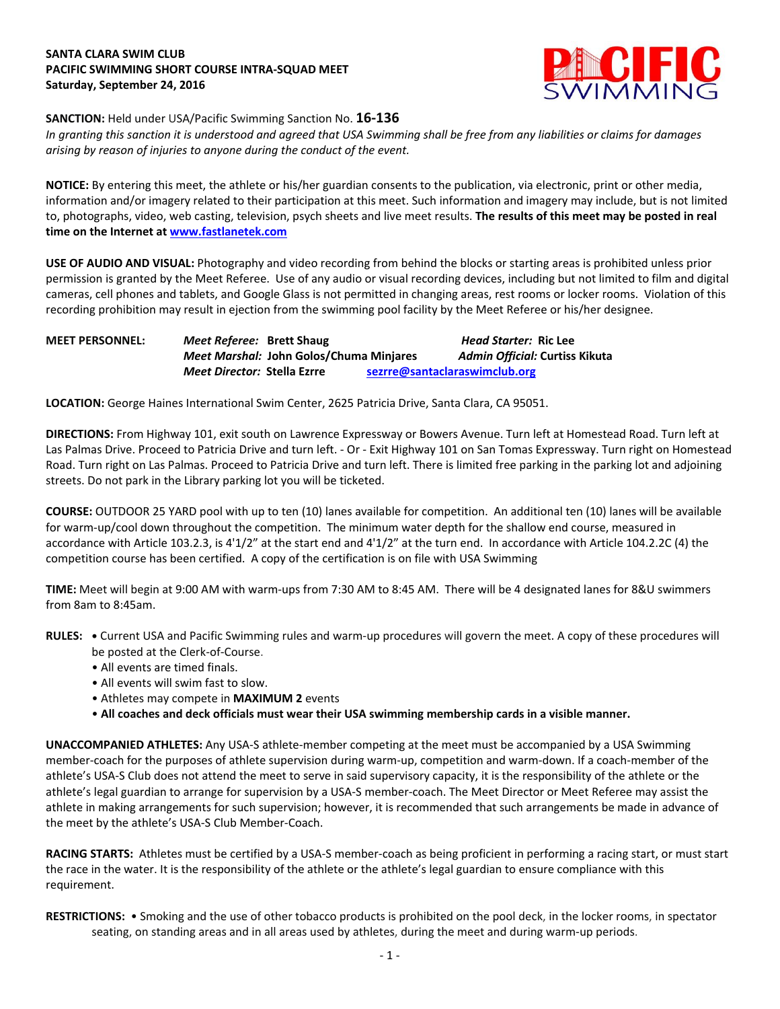# **SANTA CLARA SWIM CLUB PACIFIC SWIMMING SHORT COURSE INTRA-SQUAD MEET Saturday, September 24, 2016**



### **SANCTION:** Held under USA/Pacific Swimming Sanction No. **16-136**

*In granting this sanction it is understood and agreed that USA Swimming shall be free from any liabilities or claims for damages arising by reason of injuries to anyone during the conduct of the event.*

**NOTICE:** By entering this meet, the athlete or his/her guardian consents to the publication, via electronic, print or other media, information and/or imagery related to their participation at this meet. Such information and imagery may include, but is not limited to, photographs, video, web casting, television, psych sheets and live meet results. **The results of this meet may be posted in real time on the Internet at [www.fastlanetek.com](http://www.fastlanetek.com/)**

**USE OF AUDIO AND VISUAL:** Photography and video recording from behind the blocks or starting areas is prohibited unless prior permission is granted by the Meet Referee. Use of any audio or visual recording devices, including but not limited to film and digital cameras, cell phones and tablets, and Google Glass is not permitted in changing areas, rest rooms or locker rooms. Violation of this recording prohibition may result in ejection from the swimming pool facility by the Meet Referee or his/her designee.

## **MEET PERSONNEL:** *Meet Referee:* **Brett Shaug** *Head Starter:* **Ric Lee** *Meet Marshal:* **John Golos/Chuma Minjares** *Admin Official:* **Curtiss Kikuta** *Meet Director:* **Stella Ezrre [sezrre@santaclaraswimclub.org](mailto:sezrre@santaclaraswimclub.org)**

**LOCATION:** George Haines International Swim Center, 2625 Patricia Drive, Santa Clara, CA 95051.

**DIRECTIONS:** From Highway 101, exit south on Lawrence Expressway or Bowers Avenue. Turn left at Homestead Road. Turn left at Las Palmas Drive. Proceed to Patricia Drive and turn left. - Or - Exit Highway 101 on San Tomas Expressway. Turn right on Homestead Road. Turn right on Las Palmas. Proceed to Patricia Drive and turn left. There is limited free parking in the parking lot and adjoining streets. Do not park in the Library parking lot you will be ticketed.

**COURSE:** OUTDOOR 25 YARD pool with up to ten (10) lanes available for competition. An additional ten (10) lanes will be available for warm-up/cool down throughout the competition. The minimum water depth for the shallow end course, measured in accordance with Article 103.2.3, is 4'1/2" at the start end and 4'1/2" at the turn end. In accordance with Article 104.2.2C (4) the competition course has been certified. A copy of the certification is on file with USA Swimming

**TIME:** Meet will begin at 9:00 AM with warm-ups from 7:30 AM to 8:45 AM. There will be 4 designated lanes for 8&U swimmers from 8am to 8:45am.

- **RULES: •** Current USA and Pacific Swimming rules and warm-up procedures will govern the meet. A copy of these procedures will be posted at the Clerk-of-Course.
	- All events are timed finals.
	- All events will swim fast to slow.
	- Athletes may compete in **MAXIMUM 2** events
	- **All coaches and deck officials must wear their USA swimming membership cards in a visible manner.**

**UNACCOMPANIED ATHLETES:** Any USA-S athlete-member competing at the meet must be accompanied by a USA Swimming member-coach for the purposes of athlete supervision during warm-up, competition and warm-down. If a coach-member of the athlete's USA-S Club does not attend the meet to serve in said supervisory capacity, it is the responsibility of the athlete or the athlete's legal guardian to arrange for supervision by a USA-S member-coach. The Meet Director or Meet Referee may assist the athlete in making arrangements for such supervision; however, it is recommended that such arrangements be made in advance of the meet by the athlete's USA-S Club Member-Coach.

**RACING STARTS:** Athletes must be certified by a USA-S member-coach as being proficient in performing a racing start, or must start the race in the water. It is the responsibility of the athlete or the athlete's legal guardian to ensure compliance with this requirement.

**RESTRICTIONS:** • Smoking and the use of other tobacco products is prohibited on the pool deck, in the locker rooms, in spectator seating, on standing areas and in all areas used by athletes, during the meet and during warm-up periods.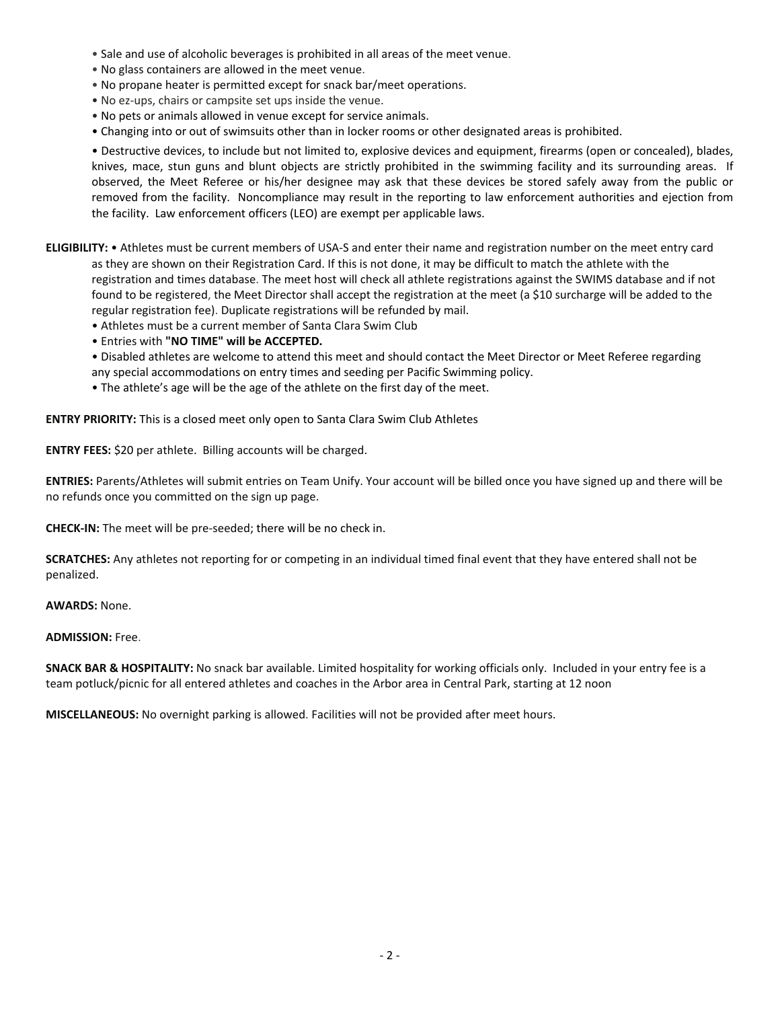- Sale and use of alcoholic beverages is prohibited in all areas of the meet venue.
- No glass containers are allowed in the meet venue.
- No propane heater is permitted except for snack bar/meet operations.
- No ez-ups, chairs or campsite set ups inside the venue.
- No pets or animals allowed in venue except for service animals.
- Changing into or out of swimsuits other than in locker rooms or other designated areas is prohibited.

• Destructive devices, to include but not limited to, explosive devices and equipment, firearms (open or concealed), blades, knives, mace, stun guns and blunt objects are strictly prohibited in the swimming facility and its surrounding areas. If observed, the Meet Referee or his/her designee may ask that these devices be stored safely away from the public or removed from the facility. Noncompliance may result in the reporting to law enforcement authorities and ejection from the facility. Law enforcement officers (LEO) are exempt per applicable laws.

- **ELIGIBILITY:** Athletes must be current members of USA-S and enter their name and registration number on the meet entry card as they are shown on their Registration Card. If this is not done, it may be difficult to match the athlete with the registration and times database. The meet host will check all athlete registrations against the SWIMS database and if not found to be registered, the Meet Director shall accept the registration at the meet (a \$10 surcharge will be added to the regular registration fee). Duplicate registrations will be refunded by mail.
	- Athletes must be a current member of Santa Clara Swim Club
	- Entries with **"NO TIME" will be ACCEPTED.**

• Disabled athletes are welcome to attend this meet and should contact the Meet Director or Meet Referee regarding any special accommodations on entry times and seeding per Pacific Swimming policy.

• The athlete's age will be the age of the athlete on the first day of the meet.

**ENTRY PRIORITY:** This is a closed meet only open to Santa Clara Swim Club Athletes

**ENTRY FEES:** \$20 per athlete. Billing accounts will be charged.

**ENTRIES:** Parents/Athletes will submit entries on Team Unify. Your account will be billed once you have signed up and there will be no refunds once you committed on the sign up page.

**CHECK-IN:** The meet will be pre-seeded; there will be no check in.

**SCRATCHES:** Any athletes not reporting for or competing in an individual timed final event that they have entered shall not be penalized.

**AWARDS:** None.

#### **ADMISSION:** Free.

**SNACK BAR & HOSPITALITY:** No snack bar available. Limited hospitality for working officials only. Included in your entry fee is a team potluck/picnic for all entered athletes and coaches in the Arbor area in Central Park, starting at 12 noon

**MISCELLANEOUS:** No overnight parking is allowed. Facilities will not be provided after meet hours.